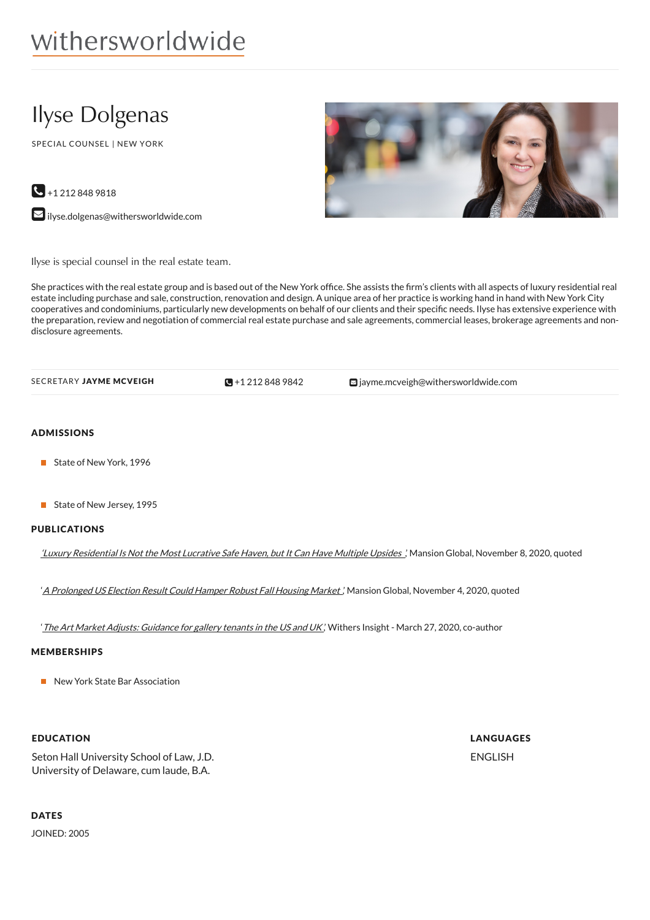# Ilyse Dolgenas

SPECIAL COUNSEL | NEW YORK

 $\bigodot$  +1 212 848 9818

 $\blacktriangleright$  [ilyse.dolgenas@withersworldwide.com](mailto:ilyse.dolgenas@withersworldwide.com?subject=Website Enquiry - Profile Page)



Ilyse is special counsel in the real estate team.

She practices with the real estate group and is based out of the New York office. She assists the firm's clients with all aspects of luxury residential real estate including purchase and sale, construction, renovation and design. A unique area of her practice is working hand in hand with New York City cooperatives and condominiums, particularly new developments on behalf of our clients and their specific needs. Ilyse has extensive experience with the preparation, review and negotiation of commercial real estate purchase and sale agreements, commercial leases, brokerage agreements and nondisclosure agreements.

| SECRETARY <b>JAYME MCVEIGH</b> | $\Box + 12128489842$ | $\blacksquare$ jayme.mcveigh@withersworldwide.com |
|--------------------------------|----------------------|---------------------------------------------------|
|--------------------------------|----------------------|---------------------------------------------------|

### ADMISSIONS

- State of New York, 1996
- State of New Jersey, 1995

#### PUBLICATIONS

'Luxury [Residential](https://www.mansionglobal.com/articles/luxury-residential-is-not-the-most-lucrative-safe-haven-but-it-can-have-multiple-upsides-221015) Is Not the Most Lucrative Safe Haven, but It Can Have Multiple Upsides ,' Mansion Global, November 8, 2020, quoted

'A [Prolonged](https://www.mansionglobal.com/articles/a-prolonged-u-s-election-result-could-hamper-robust-fall-housing-market-220897) US Election Result Could Hamper Robust Fall Housing Market.' Mansion Global, November 4, 2020, quoted

'The Art Market Adjusts: [Guidance](https://www.withersworldwide.com/en-gb/insight/the-art-market-adjusts-guidance-for-gallery-tenants-in-the-us-and-uk) for gallery tenants in the US and UK', Withers Insight - March 27, 2020, co-author

### MEMBERSHIPS

New York State Bar Association

### EDUCATION

Seton Hall University School of Law, J.D. University of Delaware, cum laude, B.A.

## **DATES**

JOINED: 2005

LANGUAGES ENGLISH